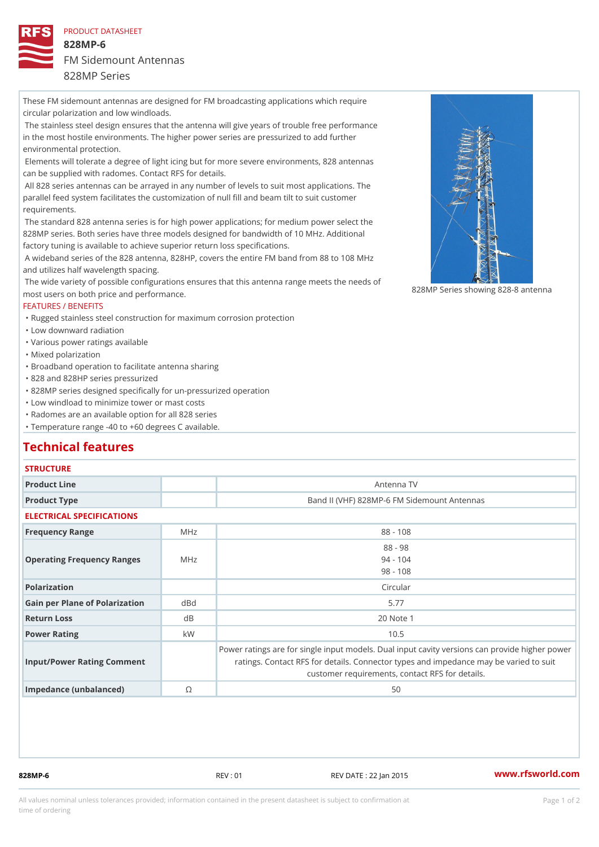### PRODUCT DATASHEET

828MP-6 FM Sidemount Antennas

## 828MP Series

These FM sidemount antennas are designed for FM broadcasting applications which require circular polarization and low windloads.

 The stainless steel design ensures that the antenna will give years of trouble free performance in the most hostile environments. The higher power series are pressurized to add further environmental protection.

 Elements will tolerate a degree of light icing but for more severe environments, 828 antennas can be supplied with radomes. Contact RFS for details.

 All 828 series antennas can be arrayed in any number of levels to suit most applications. The parallel feed system facilitates the customization of null fill and beam tilt to suit customer requirements.

 The standard 828 antenna series is for high power applications; for medium power select the 828MP series. Both series have three models designed for bandwidth of 10 MHz. Additional factory tuning is available to achieve superior return loss specifications.

 A wideband series of the 828 antenna, 828HP, covers the entire FM band from 88 to 108 MHz and utilizes half wavelength spacing.

The wide variety of possible configurations ensures that this antenna range meets the needs of The wide variety of possible configurations ensures that this antenna range meets the needs of antenna for the system of the sy most users on both price and performance.

## FEATURES / BENEFITS

"Rugged stainless steel construction for maximum corrosion protection

"Low downward radiation

"Various power ratings available

"Mixed polarization

"Broadband operation to facilitate antenna sharing

"828 and 828HP series pressurized

"828MP series designed specifically for un-pressurized operation

"Low windload to minimize tower or mast costs

"Radomes are an available option for all 828 series

"Temperature range -40 to +60 degrees C available.

## Technical features

## **STRUCTURE**

| Product Line                      |               | Antenna TV                                                                                                                                                                               |
|-----------------------------------|---------------|------------------------------------------------------------------------------------------------------------------------------------------------------------------------------------------|
| Product Type                      |               | Band II (VHF) 828MP-6 FM Sidemount Antennas                                                                                                                                              |
| ELECTRICAL SPECIFICATIONS         |               |                                                                                                                                                                                          |
| Frequency Range                   | MHz           | $88 - 108$                                                                                                                                                                               |
| Operating Frequency RangeMeHz     |               | $88 - 98$<br>$94 - 104$<br>$98 - 108$                                                                                                                                                    |
| Polarization                      |               | Circular                                                                                                                                                                                 |
| Gain per Plane of Polarizat doBnd |               | 5.77                                                                                                                                                                                     |
| Return Loss                       | d B           | 20 Note 1                                                                                                                                                                                |
| Power Rating                      | k W           | 10.5                                                                                                                                                                                     |
| Input/Power Rating Comment        |               | Power ratings are for single input models. Dual input cavity versid<br>ratings. Contact RFS for details. Connector types and impedanc<br>customer requirements, contact RFS for details. |
| Impedance (unbalanced)            | $^\copyright$ | 50                                                                                                                                                                                       |

828MP-6 REV : 01 REV DATE : 22 Jan 2015 [www.](https://www.rfsworld.com)rfsworld.com